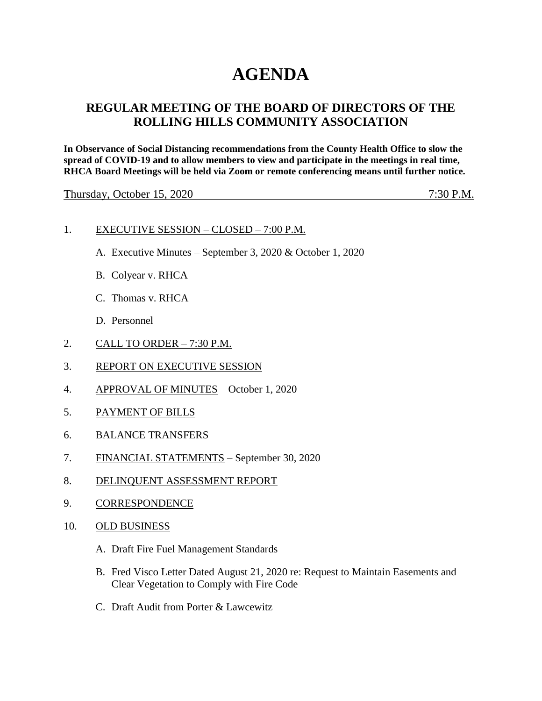# **AGENDA**

# **REGULAR MEETING OF THE BOARD OF DIRECTORS OF THE ROLLING HILLS COMMUNITY ASSOCIATION**

**In Observance of Social Distancing recommendations from the County Health Office to slow the spread of COVID-19 and to allow members to view and participate in the meetings in real time, RHCA Board Meetings will be held via Zoom or remote conferencing means until further notice.** 

Thursday, October 15, 2020 7:30 P.M.

#### 1. EXECUTIVE SESSION – CLOSED – 7:00 P.M.

- A. Executive Minutes September 3, 2020 & October 1, 2020
- B. Colyear v. RHCA
- C. Thomas v. RHCA
- D. Personnel
- 2. CALL TO ORDER 7:30 P.M.
- 3. REPORT ON EXECUTIVE SESSION
- 4. APPROVAL OF MINUTES October 1, 2020
- 5. PAYMENT OF BILLS
- 6. BALANCE TRANSFERS
- 7. FINANCIAL STATEMENTS September 30, 2020
- 8. DELINQUENT ASSESSMENT REPORT
- 9. CORRESPONDENCE
- 10. OLD BUSINESS
	- A. Draft Fire Fuel Management Standards
	- B. Fred Visco Letter Dated August 21, 2020 re: Request to Maintain Easements and Clear Vegetation to Comply with Fire Code
	- C. Draft Audit from Porter & Lawcewitz